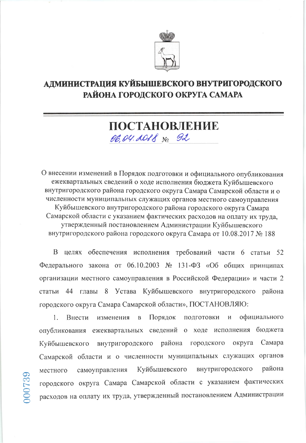

## АДМИНИСТРАЦИЯ КУЙБЫШЕВСКОГО ВНУТРИГОРОДСКОГО РАЙОНА ГОРОДСКОГО ОКРУГА САМАРА

## ПОСТАНОВЛЕНИЕ 06.04.2018 No 92

О внесении изменений в Порядок подготовки и официального опубликования ежеквартальных сведений о ходе исполнения бюджета Куйбышевского внутригородского района городского округа Самара Самарской области и о численности муниципальных служащих органов местного самоуправления Куйбышевского внутригородского района городского округа Самара Самарской области с указанием фактических расходов на оплату их труда, утвержденный постановлением Администрации Куйбышевского внутригородского района городского округа Самара от 10.08.2017 № 188

В целях обеспечения исполнения требований части 6 статьи 52 Федерального закона от 06.10.2003  $\mathcal{N}_2$  131-ФЗ «Об общих принципах организации местного самоуправления в Российской Федерации» и части 2 статьи 44 главы 8 Устава Куйбышевского внутригородского района городского округа Самара Самарской области», ПОСТАНОВЛЯЮ:

Порядок официального  $\mathbf{1}$ . Внести изменения  $\overline{B}$ ПОДГОТОВКИ  $\overline{M}$ опубликования ежеквартальных сведений о ходе исполнения бюджета внутригородского района городского округа Самара Куйбышевского Самарской области и о численности муниципальных служащих органов района Куйбышевского внутригородского самоуправления местного городского округа Самара Самарской области с указанием фактических расходов на оплату их труда, утвержденный постановлением Администрации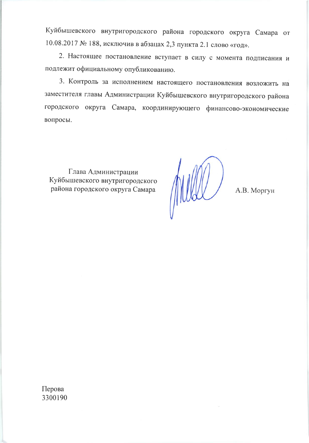Куйбышевского внутригородского района городского округа Самара от 10.08.2017 № 188, исключив в абзацах 2,3 пункта 2.1 слово «год».

2. Настоящее постановление вступает в силу с момента подписания и подлежит официальному опубликованию.

3. Контроль за исполнением настоящего постановления возложить на заместителя главы Администрации Куйбышевского внутригородского района городского округа Самара, координирующего финансово-экономические вопросы.

Глава Администрации Куйбышевского внутригородского района городского округа Самара

 $MWC$ 

А.В. Моргун

Перова 3300190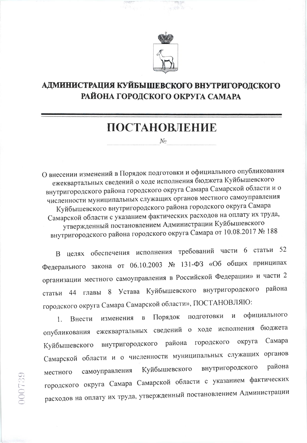

## АДМИНИСТРАЦИЯ КУЙБЫШЕВСКОГО ВНУТРИГОРОДСКОГО РАЙОНА ГОРОДСКОГО ОКРУГА САМАРА

## ПОСТАНОВЛЕНИЕ

 $N_{\Omega}$ 

О внесении изменений в Порядок подготовки и официального опубликования ежеквартальных сведений о ходе исполнения бюджета Куйбышевского внутригородского района городского округа Самара Самарской области и о численности муниципальных служащих органов местного самоуправления Куйбышевского внутригородского района городского округа Самара Самарской области с указанием фактических расходов на оплату их труда,

утвержденный постановлением Администрации Куйбышевского внутригородского района городского округа Самара от 10.08.2017 № 188

В целях обеспечения исполнения требований части 6 статьи 52 Федерального закона от 06.10.2003 № 131-ФЗ «Об общих принципах организации местного самоуправления в Российской Федерации» и части 2 статьи 44 главы 8 Устава Куйбышевского внутригородского района городского округа Самара Самарской области», ПОСТАНОВЛЯЮ:

официального  $\boldsymbol{\mathit{H}}$ Порядок подготовки  $\, {\bf B}$ изменения Внести 1. опубликования ежеквартальных сведений о ходе исполнения бюджета Самара Куйбышевского внутригородского района городского округа Самарской области и о численности муниципальных служащих органов внутригородского района Куйбышевского самоуправления местного городского округа Самара Самарской области с указанием фактических расходов на оплату их труда, утвержденный постановлением Администрации